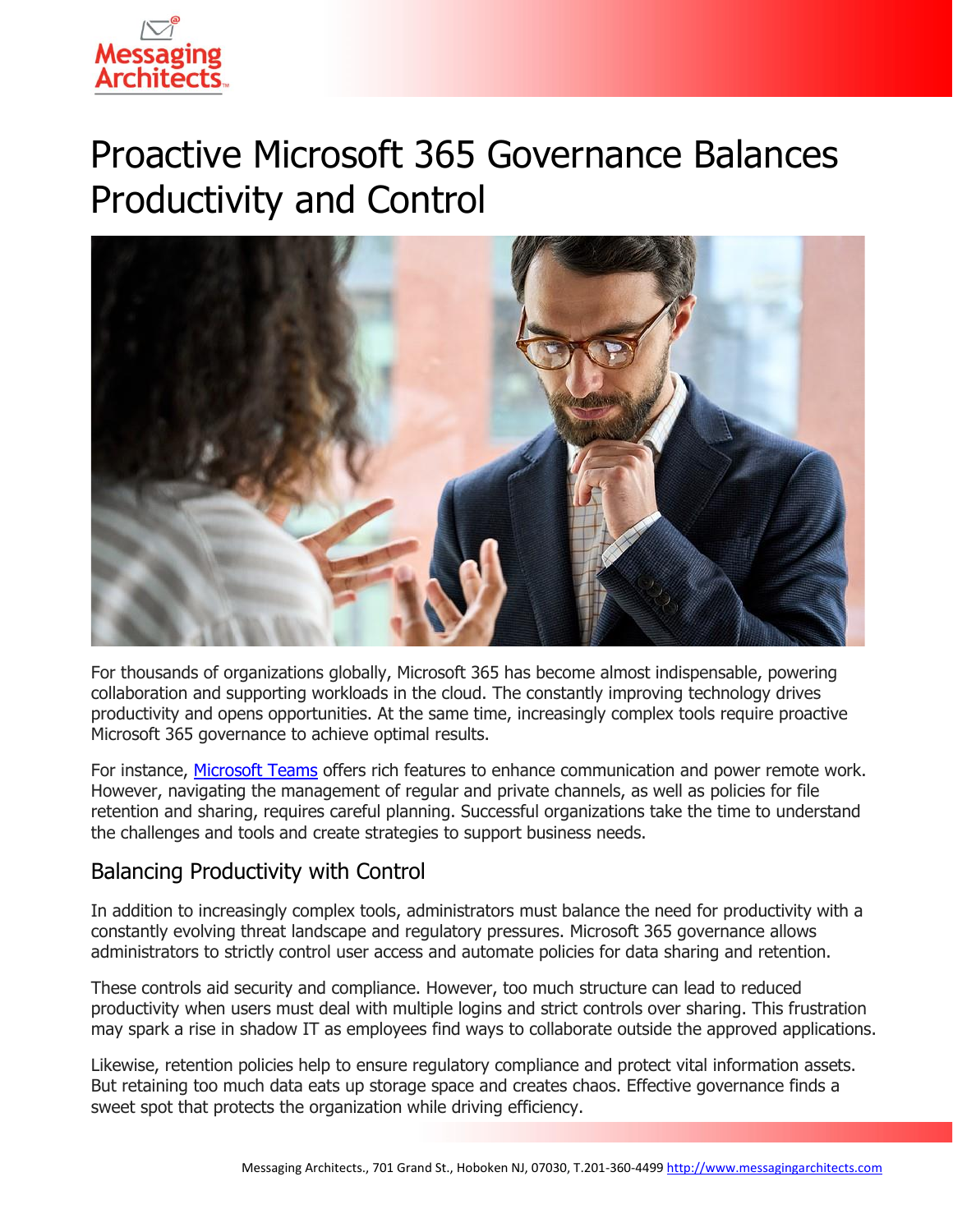

# Proactive Microsoft 365 Governance Balances Productivity and Control



For thousands of organizations globally, Microsoft 365 has become almost indispensable, powering collaboration and supporting workloads in the cloud. The constantly improving technology drives productivity and opens opportunities. At the same time, increasingly complex tools require proactive Microsoft 365 governance to achieve optimal results.

For instance, [Microsoft Teams](https://www.emazzanti.net/multi-cultural-fashion-company-microsoft-teams/) offers rich features to enhance communication and power remote work. However, navigating the management of regular and private channels, as well as policies for file retention and sharing, requires careful planning. Successful organizations take the time to understand the challenges and tools and create strategies to support business needs.

### Balancing Productivity with Control

In addition to increasingly complex tools, administrators must balance the need for productivity with a constantly evolving threat landscape and regulatory pressures. Microsoft 365 governance allows administrators to strictly control user access and automate policies for data sharing and retention.

These controls aid security and compliance. However, too much structure can lead to reduced productivity when users must deal with multiple logins and strict controls over sharing. This frustration may spark a rise in shadow IT as employees find ways to collaborate outside the approved applications.

Likewise, retention policies help to ensure regulatory compliance and protect vital information assets. But retaining too much data eats up storage space and creates chaos. Effective governance finds a sweet spot that protects the organization while driving efficiency.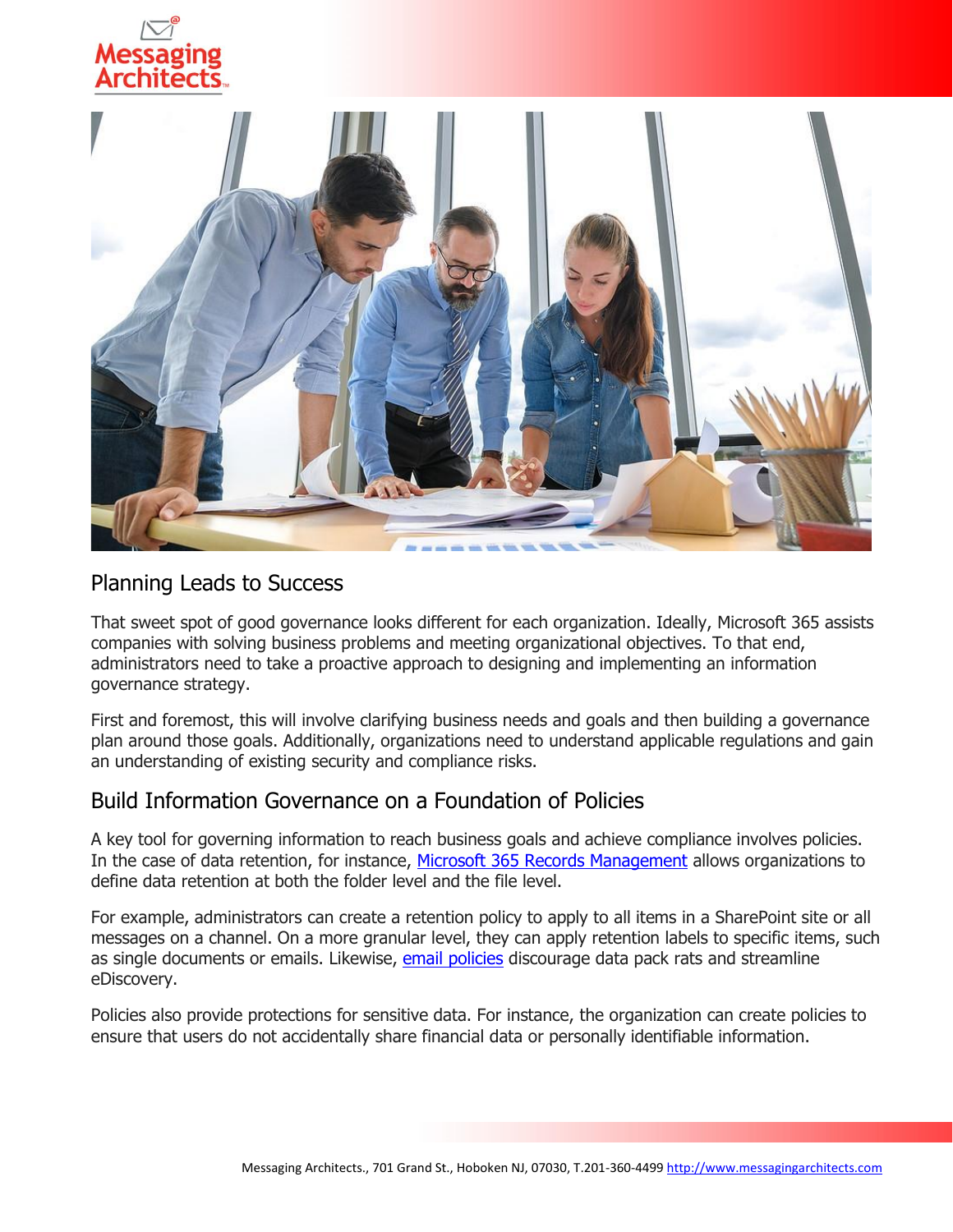



## Planning Leads to Success

That sweet spot of good governance looks different for each organization. Ideally, Microsoft 365 assists companies with solving business problems and meeting organizational objectives. To that end, administrators need to take a proactive approach to designing and implementing an information governance strategy.

First and foremost, this will involve clarifying business needs and goals and then building a governance plan around those goals. Additionally, organizations need to understand applicable regulations and gain an understanding of existing security and compliance risks.

### Build Information Governance on a Foundation of Policies

A key tool for governing information to reach business goals and achieve compliance involves policies. In the case of data retention, for instance, Microsoft 365 [Records Management](https://messagingarchitects.com/microsoft-365-records-management/) allows organizations to define data retention at both the folder level and the file level.

For example, administrators can create a retention policy to apply to all items in a SharePoint site or all messages on a channel. On a more granular level, they can apply retention labels to specific items, such as single documents or emails. Likewise, [email policies](https://messagingarchitects.com/email-destruction-policies/) discourage data pack rats and streamline eDiscovery.

Policies also provide protections for sensitive data. For instance, the organization can create policies to ensure that users do not accidentally share financial data or personally identifiable information.